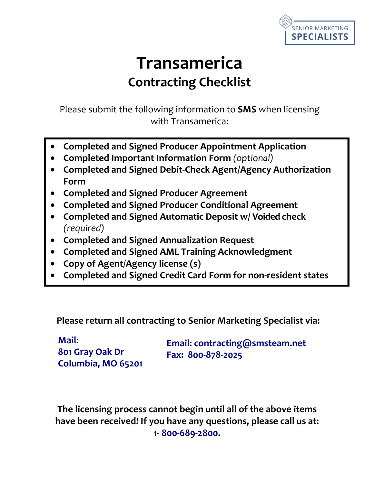

# **Transamerica Contracting Checklist**

Please submit the following information to **SMS** when licensing with Transamerica:

- **Completed and Signed Producer Appointment Application**
- **Completed Important Information Form** *(optional)*
- **Completed and Signed Debit-Check Agent/Agency Authorization Form**
- **Completed and Signed Producer Agreement**
- **Completed and Signed Producer Conditional Agreement**
- **Completed and Signed Automatic Deposit w/ Voided check** *(required)*
- **Completed and Signed Annualization Request**
- **Completed and Signed AML Training Acknowledgment**
- **Copy of Agent/Agency license (s)**
- **Completed and Signed Credit Card Form for non-resident states**

**Please return all contracting to Senior Marketing Specialist via:**

**Mail: 801 Gray Oak Dr Columbia, MO 65201**

**Email: contracting@smsteam.net Fax: 800-878-2025**

**The licensing process cannot begin until all of the above items have been received! If you have any questions, please call us at: 1- 800-689-2800.**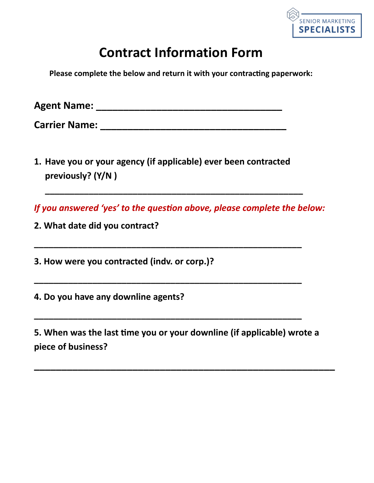

## **Contract Information Form**

**Please complete the below and return it with your contracting paperwork:** 

**Agent Name: \_\_\_\_\_\_\_\_\_\_\_\_\_\_\_\_\_\_\_\_\_\_\_\_\_\_\_\_\_\_\_\_\_\_** 

**Carrier Name:**  $\blacksquare$ 

**1. Have you or your agency (if applicable) ever been contracted previously? (Y/N )**

*If you answered 'yes' to the question above, please complete the below:* 

**\_\_\_\_\_\_\_\_\_\_\_\_\_\_\_\_\_\_\_\_\_\_\_\_\_\_\_\_\_\_\_\_\_\_\_\_\_\_\_\_\_\_\_\_\_\_\_\_\_\_\_\_\_**

**\_\_\_\_\_\_\_\_\_\_\_\_\_\_\_\_\_\_\_\_\_\_\_\_\_\_\_\_\_\_\_\_\_\_\_\_\_\_\_\_\_\_\_\_\_\_\_\_\_\_\_\_\_\_\_**

**\_\_\_\_\_\_\_\_\_\_\_\_\_\_\_\_\_\_\_\_\_\_\_\_\_\_\_\_\_\_\_\_\_\_\_\_\_\_\_\_\_\_\_\_\_\_\_\_\_\_\_\_\_\_\_**

**\_\_\_\_\_\_\_\_\_\_\_\_\_\_\_\_\_\_\_\_\_\_\_\_\_\_\_\_\_\_\_\_\_\_\_\_\_\_\_\_\_\_\_\_\_\_\_\_\_\_\_\_\_\_\_**

**2. What date did you contract?**

**3. How were you contracted (indv. or corp.)?**

**4. Do you have any downline agents?**

**5. When was the last Ɵme you or your downline (if applicable) wrote a piece of business?**

**\_\_\_\_\_\_\_\_\_\_\_\_\_\_\_\_\_\_\_\_\_\_\_\_\_\_\_\_\_\_\_\_\_\_\_\_\_\_\_\_\_\_\_\_\_\_\_\_\_\_\_\_\_\_\_**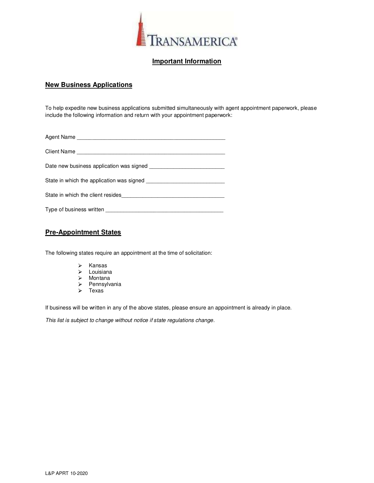

#### Important Information

#### New Business Applications

To help expedite new business applications submitted simultaneously with agent appointment paperwork, please include the following information and return with your appointment paperwork:

| Type of business written |  |
|--------------------------|--|

#### Pre-Appointment States

The following states require an appointment at the time of solicitation:

- $\triangleright$  Kansas
- > Louisiana
- Montana
- $\triangleright$  Pennsylvania
- $\triangleright$  Texas

If business will be written in any of the above states, please ensure an appointment is already in place.

This list is subject to change without notice if state regulations change.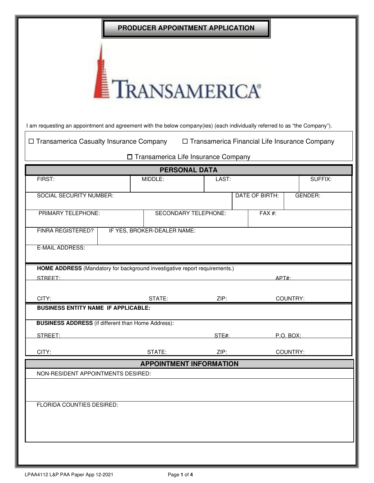|                                                                                                                            | PRODUCER APPOINTMENT APPLICATION      |                                                 |                |                |
|----------------------------------------------------------------------------------------------------------------------------|---------------------------------------|-------------------------------------------------|----------------|----------------|
|                                                                                                                            | TRANSAMERICA®                         |                                                 |                |                |
| I am requesting an appointment and agreement with the below company(ies) (each individually referred to as "the Company"). |                                       |                                                 |                |                |
| □ Transamerica Casualty Insurance Company                                                                                  |                                       | □ Transamerica Financial Life Insurance Company |                |                |
|                                                                                                                            | □ Transamerica Life Insurance Company |                                                 |                |                |
| FIRST:                                                                                                                     | <b>PERSONAL DATA</b><br>MIDDLE:       | LAST:                                           |                | SUFFIX:        |
|                                                                                                                            |                                       |                                                 |                |                |
| <b>SOCIAL SECURITY NUMBER:</b>                                                                                             |                                       |                                                 | DATE OF BIRTH: | <b>GENDER:</b> |
| PRIMARY TELEPHONE:                                                                                                         | SECONDARY TELEPHONE:                  |                                                 | $FAX#$ :       |                |
| FINRA REGISTERED?                                                                                                          | IF YES, BROKER-DEALER NAME:           |                                                 |                |                |
| <b>E-MAIL ADDRESS:</b>                                                                                                     |                                       |                                                 |                |                |
| HOME ADDRESS (Mandatory for background investigative report requirements.)<br>STREET:                                      |                                       |                                                 | APT#:          |                |
|                                                                                                                            |                                       |                                                 |                |                |
| CITY:<br><b>BUSINESS ENTITY NAME IF APPLICABLE:</b>                                                                        | STATE:                                | ZIP:                                            | COUNTRY:       |                |
| <b>BUSINESS ADDRESS</b> (if different than Home Address):                                                                  |                                       |                                                 |                |                |
| STREET:                                                                                                                    |                                       | STE#:                                           | P.O. BOX:      |                |
|                                                                                                                            |                                       |                                                 |                |                |
| CITY:                                                                                                                      | STATE:                                | ZIP:                                            | COUNTRY:       |                |
| NON-RESIDENT APPOINTMENTS DESIRED:                                                                                         | <b>APPOINTMENT INFORMATION</b>        |                                                 |                |                |
|                                                                                                                            |                                       |                                                 |                |                |
| FLORIDA COUNTIES DESIRED:                                                                                                  |                                       |                                                 |                |                |
|                                                                                                                            |                                       |                                                 |                |                |
|                                                                                                                            |                                       |                                                 |                |                |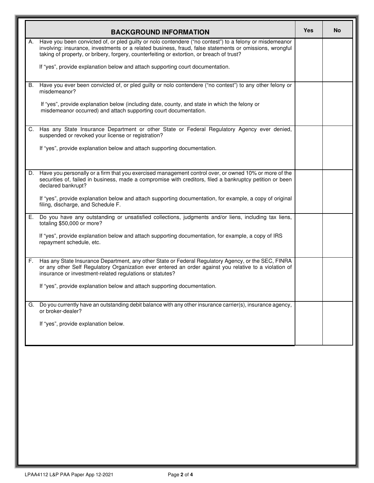|    | <b>BACKGROUND INFORMATION</b>                                                                                                                                                                                                                                                                                   | Yes | No |
|----|-----------------------------------------------------------------------------------------------------------------------------------------------------------------------------------------------------------------------------------------------------------------------------------------------------------------|-----|----|
|    | Have you been convicted of, or pled guilty or nolo contendere ("no contest") to a felony or misdemeanor<br>involving: insurance, investments or a related business, fraud, false statements or omissions, wrongful<br>taking of property, or bribery, forgery, counterfeiting or extortion, or breach of trust? |     |    |
|    | If "yes", provide explanation below and attach supporting court documentation.                                                                                                                                                                                                                                  |     |    |
| В. | Have you ever been convicted of, or pled guilty or nolo contendere ("no contest") to any other felony or<br>misdemeanor?                                                                                                                                                                                        |     |    |
|    | If "yes", provide explanation below (including date, county, and state in which the felony or<br>misdemeanor occurred) and attach supporting court documentation.                                                                                                                                               |     |    |
| C. | Has any State Insurance Department or other State or Federal Regulatory Agency ever denied,<br>suspended or revoked your license or registration?                                                                                                                                                               |     |    |
|    | If "yes", provide explanation below and attach supporting documentation.                                                                                                                                                                                                                                        |     |    |
| D. | Have you personally or a firm that you exercised management control over, or owned 10% or more of the<br>securities of, failed in business, made a compromise with creditors, filed a bankruptcy petition or been<br>declared bankrupt?                                                                         |     |    |
|    | If "yes", provide explanation below and attach supporting documentation, for example, a copy of original<br>filing, discharge, and Schedule F.                                                                                                                                                                  |     |    |
| Е. | Do you have any outstanding or unsatisfied collections, judgments and/or liens, including tax liens,<br>totaling \$50,000 or more?                                                                                                                                                                              |     |    |
|    | If "yes", provide explanation below and attach supporting documentation, for example, a copy of IRS<br>repayment schedule, etc.                                                                                                                                                                                 |     |    |
| F. | Has any State Insurance Department, any other State or Federal Regulatory Agency, or the SEC, FINRA<br>or any other Self Regulatory Organization ever entered an order against you relative to a violation of<br>insurance or investment-related regulations or statutes?                                       |     |    |
|    | If "yes", provide explanation below and attach supporting documentation.                                                                                                                                                                                                                                        |     |    |
| G. | Do you currently have an outstanding debit balance with any other insurance carrier(s), insurance agency,<br>or broker-dealer?                                                                                                                                                                                  |     |    |
|    | If "yes", provide explanation below.                                                                                                                                                                                                                                                                            |     |    |
|    |                                                                                                                                                                                                                                                                                                                 |     |    |
|    |                                                                                                                                                                                                                                                                                                                 |     |    |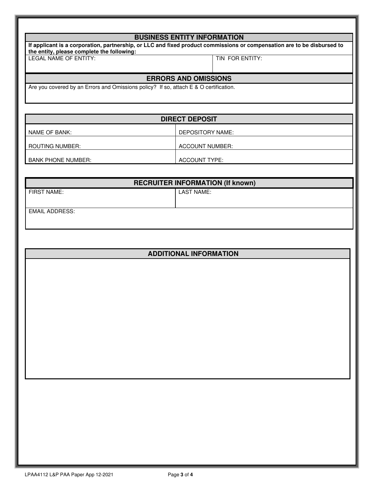| <b>BUSINESS ENTITY INFORMATION</b>                                                                                                                                    |                 |
|-----------------------------------------------------------------------------------------------------------------------------------------------------------------------|-----------------|
| If applicant is a corporation, partnership, or LLC and fixed product commissions or compensation are to be disbursed to<br>the entity, please complete the following: |                 |
| LEGAL NAME OF ENTITY:                                                                                                                                                 | TIN FOR ENTITY: |
| <b>ERRORS AND OMISSIONS</b>                                                                                                                                           |                 |
| Are you covered by an Errors and Omissions policy? If so, attach E & O certification.                                                                                 |                 |

|                           | <b>DIRECT DEPOSIT</b> |
|---------------------------|-----------------------|
| NAME OF BANK:             | DEPOSITORY NAME:      |
| ROUTING NUMBER:           | ACCOUNT NUMBER:       |
| <b>BANK PHONE NUMBER:</b> | ACCOUNT TYPE:         |

|                       | <b>RECRUITER INFORMATION (If known)</b> |
|-----------------------|-----------------------------------------|
| FIRST NAME:           | LAST NAME:                              |
|                       |                                         |
| <b>EMAIL ADDRESS:</b> |                                         |
|                       |                                         |

| <b>ADDITIONAL INFORMATION</b> |
|-------------------------------|
|                               |
|                               |
|                               |
|                               |
|                               |
|                               |
|                               |
|                               |
|                               |
|                               |
|                               |
|                               |
|                               |
|                               |
|                               |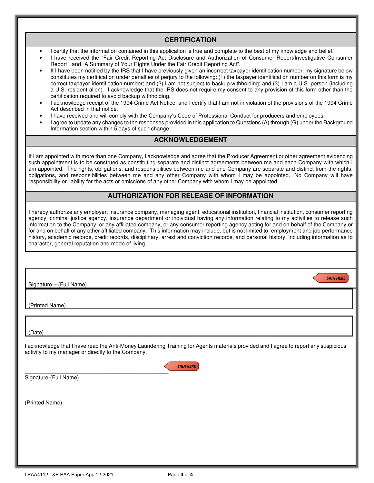#### **CERTIFICATION**

- I certify that the information contained in this application is true and complete to the best of my knowledge and belief.
- I have received the "Fair Credit Reporting Act Disclosure and Authorization of Consumer Report/Investigative Consumer Report " and "A Summary of Your Rights Under the Fair Credit Reporting Act".
- If I have been notified by the IRS that I have previously given an incorrect taxpayer identification number, my signature below constitutes my certification under penalties of perjury to the following: (1) the taxpayer identification number on this form is my correct taxpayer identification number; and (2) I am not subject to backup withholding; and (3) I am a U.S. person (including a U.S. resident alien). I acknowledge that the IRS does not require my consent to any provision of this form other than the certification required to avoid backup withholding.
- I acknowledge receipt of the 1994 Crime Act Notice, and I certify that I am not in violation of the provisions of the 1994 Crime Act described in that notice.
- I have received and will comply with the Company's Code of Professional Conduct for producers and employees.
- I agree to update any changes to the responses provided in this application to Questions (A) through (G) under the Background Information section within 5 days of such change.

#### **ACKNOWLEDGEMENT**

If I am appointed with more than one Company, I acknowledge and agree that the Producer Agreement or other agreement evidencing such appointment is to be construed as constituting separate and distinct agreements between me and each Company with which I am appointed. The rights, obligations, and responsibilities between me and one Company are separate and distinct from the rights, obligations, and responsibilities between me and any other Company with whom I may be appointed. No Company will have responsibility or liability for the acts or omissions of any other Company with whom I may be appointed.

#### **AUTHORIZATION FOR RELEASE OF INFORMATION**

I hereby authorize any employer, insurance company, managing agent, educational institution, financial institution, consumer reporting agency, criminal justice agency, insurance department or individual having any information relating to my activities to release such information to the Company, or any affiliated company, or any consumer reporting agency acting for and on behalf of the Company or for and on behalf of any other affiliated company. This information may include, but is not limited to, employment and job performance history, academic records, credit records, disciplinary, arrest and conviction records, and personal history, including information as to character, general reputation and mode of living.

**SIGN HERE** 

Signature – (Full Name)

(Printed Name)

(Date)

I acknowledge that I have read the Anti-Money Laundering Training for Agents materials provided and I agree to report any suspicious activity to my manager or directly to the Company.

**SIGN HERE** 

 $\overline{\phantom{a}}$  , and the contract of the contract of the contract of the contract of the contract of the contract of the contract of the contract of the contract of the contract of the contract of the contract of the contrac Signature-(Full Name)

(Printed Name)

 $\overline{\phantom{a}}$  , and the contract of the contract of the contract of the contract of the contract of the contract of the contract of the contract of the contract of the contract of the contract of the contract of the contrac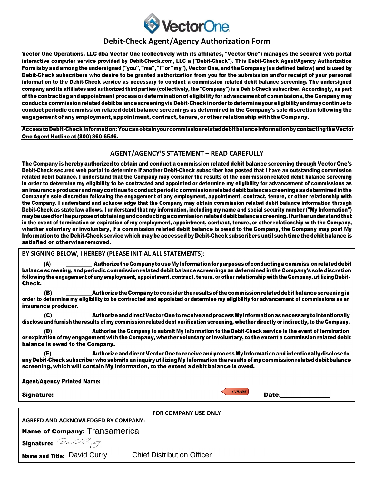

### **Debit-Check Agent/Agency Authorization Form**

Vector One Operations, LLC dba Vector One (collectively with its affiliates, "Vector One") manages the secured web portal interactive computer service provided by Debit-Check.com, LLC a ("Debit-Check"). This Debit-Check Agent/Agency Authorization Form is by and among the undersigned ("you", "me", "I" or "my"), Vector One, and the Company (as defined below) and is used by Debit-Check subscribers who desire to be granted authorization from you for the submission and/or receipt of your personal information to the Debit-Check service as necessary to conduct a commission related debit balance screening. The undersigned company and its affiliates and authorized third parties (collectively, the "Company") is a Debit-Check subscriber. Accordingly, as part of the contracting and appointment process or determination of eligibility for advancement of commissions, the Company may conduct a commission related debit balance screening via Debit-Check in order to determine your eligibility and may continue to conduct periodic commission related debit balance screenings as determined in the Company's sole discretion following the engagement of any employment, appointment, contract, tenure, or other relationship with the Company.

Access to Debit-Check Information: You can obtain your commission related debit balance information by contacting the Vector One Agent Hotline at (800) 860-6546.

#### **AGENT/AGENCY'S STATEMENT – READ CAREFULLY**

The Company is hereby authorized to obtain and conduct a commission related debit balance screening through Vector One's Debit-Check secured web portal to determine if another Debit-Check subscriber has posted that I have an outstanding commission related debit balance. I understand that the Company may consider the results of the commission related debit balance screening in order to determine my eligibility to be contracted and appointed or determine my eligibility for advancement of commissions as an insurance producer and may continue to conduct periodic commission related debit balance screenings as determined in the Company's sole discretion following the engagement of any employment, appointment, contract, tenure, or other relationship with the Company. I understand and acknowledge that the Company may obtain commission related debit balance information through Debit-Check as state law allows. I understand that my information, including my name and social security number ("My Information") may be used for the purpose of obtaining and conducting a commission related debit balance screening. I further understand that in the event of termination or expiration of my employment, appointment, contract, tenure, or other relationship with the Company, whether voluntary or involuntary, if a commission related debit balance is owed to the Company, the Company may post My Information to the Debit-Check service which may be accessed by Debit-Check subscribers until such time the debit balance is satisfied or otherwise removed.

#### **BY SIGNING BELOW, I HEREBY (PLEASE INITIAL ALL STATEMENTS):**

Authorize the Company to use My Information for purposes of conducting a commission related debit  $\overline{a}$ balance screening, and periodic commission related debit balance screenings as determined in the Company's sole discretion following the engagement of any employment, appointment, contract, tenure, or other relationship with the Company, utilizing Debit-Check.

Authorize the Company to consider the results of the commission related debit balance screening in order to determine my eligibility to be contracted and appointed or determine my eligibility for advancement of commissions as an insurance producer.

 $(C)$ Authorize and direct Vector One to receive and process My Information as necessary to intentionally disclose and furnish the results of my commission related debt verification screening, whether directly or indirectly, to the Company.

Authorize the Company to submit My Information to the Debit-Check service in the event of termination or expiration of my engagement with the Company, whether voluntary or involuntary, to the extent a commission related debit balance is owed to the Company.

Authorize and direct Vector One to receive and process My Information and intentionally disclose to any Debit-Check subscriber who submits an inquiry utilizing My Information the results of my commission related debit balance screening, which will contain My Information, to the extent a debit balance is owed.

**Agent/Agency Printed Name:** 

Signature:

**SIGN HERE** 

Date:

|                                     | <b>FOR COMPANY USE ONLY</b>       |  |
|-------------------------------------|-----------------------------------|--|
| AGREED AND ACKNOWLEDGED BY COMPANY: |                                   |  |
| Name of Company: Transamerica       |                                   |  |
| Signature: <i>DanDburg</i>          |                                   |  |
| Name and Title: David Curry         | <b>Chief Distribution Officer</b> |  |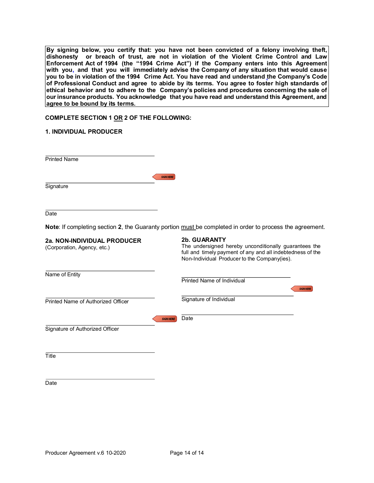By signing below, you certify that: you have not been convicted of a felony involving theft, dishonesty or breach of trust, are not in violation of the Violent Crime Control and Law Enforcement Act of 1994 (the "1994 Crime Act") if the Company enters into this Agreement with you, and that you will immediately advise the Company of any situation that would cause you to be in violation of the 1994 Crime Act. You have read and understand the Company's Code of Professional Conduct and agree to abide by its terms. You agree to foster high standards of ethical behavior and to adhere to the Company's policies and procedures concerning the sale of our insurance products. You acknowledge that you have read and understand this Agreement, and agree to be bound by its terms.

#### COMPLETE SECTION 1 OR 2 OF THE FOLLOWING:

#### 1. INDIVIDUAL PRODUCER

| <b>Printed Name</b> |                  |
|---------------------|------------------|
|                     | <b>SIGN HERE</b> |
| Signature           |                  |
|                     |                  |
| Date                |                  |

| agree to be bound by its terms.                            |                                                                                                                                                                                     |
|------------------------------------------------------------|-------------------------------------------------------------------------------------------------------------------------------------------------------------------------------------|
| COMPLETE SECTION 1 OR 2 OF THE FOLLOWING:                  |                                                                                                                                                                                     |
| <b>1. INDIVIDUAL PRODUCER</b>                              |                                                                                                                                                                                     |
| Printed Name                                               |                                                                                                                                                                                     |
| Signature                                                  | <b>SIGN HERE</b>                                                                                                                                                                    |
| Date                                                       |                                                                                                                                                                                     |
|                                                            | Note: If completing section 2, the Guaranty portion must be completed in order to process the agreement.                                                                            |
| 2a. NON-INDIVIDUAL PRODUCER<br>(Corporation, Agency, etc.) | 2b. GUARANTY<br>The undersigned hereby unconditionally guarantees the<br>full and timely payment of any and all indebtedness of the<br>Non-Individual Producer to the Company(ies). |
| Name of Entity                                             | Printed Name of Individual<br><b>SIGN HERE</b>                                                                                                                                      |
| Printed Name of Authorized Officer                         | Signature of Individual                                                                                                                                                             |
| Signature of Authorized Officer                            | Date<br><b>SIGN HERE</b>                                                                                                                                                            |
|                                                            |                                                                                                                                                                                     |
| Title                                                      |                                                                                                                                                                                     |
| Date                                                       |                                                                                                                                                                                     |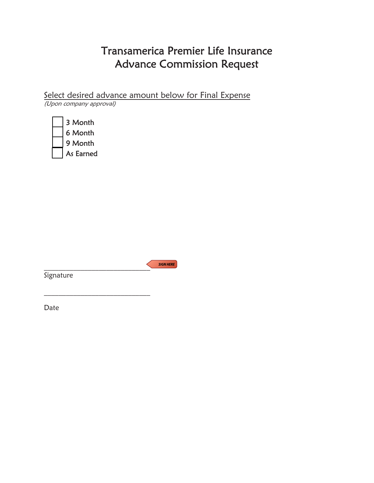## Transamerica Premier Life Insurance Advance Commission Request

Select desired advance amount below for Final Expense (Upon company approval)

| 3 Month   |
|-----------|
| 6 Month   |
| 9 Month   |
| As Earned |

**SIGN HERE**  $\sim$   $\sim$   $\sim$   $\sim$   $\sim$   $\sim$   $\sim$ 

**Signature** 

 $\mathcal{L}_\text{max}$ 

Date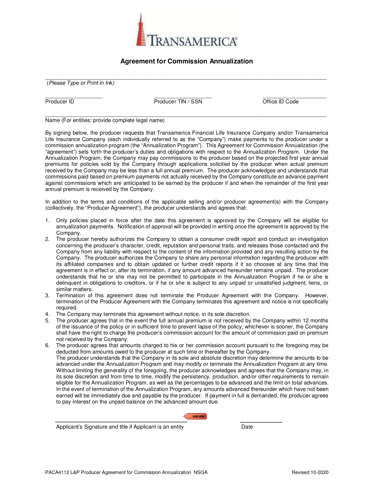

#### Agreement for Commission Annualization

 $\overline{a_1}$  ,  $\overline{a_2}$  ,  $\overline{a_3}$  ,  $\overline{a_4}$  ,  $\overline{a_5}$  ,  $\overline{a_6}$  ,  $\overline{a_7}$  ,  $\overline{a_8}$  ,  $\overline{a_9}$  ,  $\overline{a_9}$  ,  $\overline{a_9}$  ,  $\overline{a_9}$  ,  $\overline{a_9}$  ,  $\overline{a_9}$  ,  $\overline{a_9}$  ,  $\overline{a_9}$  ,  $\overline{a_9}$  , (Please Type or Print in Ink)

Producer ID<br>
Producer TIN / SSN<br>
Mame (For entities: provide complete legal name)

By signing below, the producer requests that Transamerica Financial Life Insurance Company and/or Transamerica Life Insurance Company (each individually referred to as the "Company") make payments to the producer under a commission annualization program (the "Annualization Program"). This Agreement for Commission Annualization (the "agreement") sets forth the producer's duties and obligations with respect to the Annualization Program. Under the Annualization Program, the Company may pay commissions to the producer based on the projected first year annual premiums for policies sold by the Company through applications solicited by the producer when actual premium received by the Company may be less than a full annual premium. The producer acknowledges and understands that commissions paid based on premium payments not actually received by the Company constitute an advance payment against commissions which are anticipated to be earned by the producer if and when the remainder of the first year annual premium is received by the Company.

In addition to the terms and conditions of the applicable selling and/or producer agreement(s) with the Company (collectively, the "Producer Agreement"), the producer understands and agrees that:

- 1. Only policies placed in force after the date this agreement is approved by the Company will be eligible for annualization payments. Notification of approval will be provided in writing once the agreement is approved by the Company.
- 2. The producer hereby authorizes the Company to obtain a consumer credit report and conduct an investigation concerning the producer's character, credit, reputation and personal traits, and releases those contacted and the Company from any liability with respect to the content of the information provided and any resulting action by the Company. The producer authorizes the Company to share any personal information regarding the producer with its affiliated companies and to obtain updated or further credit reports if it so chooses at any time that this agreement is in effect or, after its termination, if any amount advanced hereunder remains unpaid. The producer understands that he or she may not be permitted to participate in the Annualization Program if he or she is delinquent in obligations to creditors, or if he or she is subject to any unpaid or unsatisfied judgment, liens, or similar matters.
- 3. Termination of this agreement does not terminate the Producer Agreement with the Company. However, termination of the Producer Agreement with the Company terminates this agreement and notice is not specifically required.
- 4. The Company may terminate this agreement without notice, in its sole discretion.
- 5. The producer agrees that in the event the full annual premium is not received by the Company within 12 months of the issuance of the policy or in sufficient time to prevent lapse of the policy, whichever is sooner, the Company shall have the right to charge the producer's commission account for the amount of commission paid on premium not received by the Company.
- 6. The producer agrees that amounts charged to his or her commission account pursuant to the foregoing may be deducted from amounts owed to the producer at such time or thereafter by the Company. The producer understands that the Company in its sole and absolute discretion may determine the amounts to be advanced under the Annualization Program and may modify or terminate the Annualization Program at any time. Without limiting the generality of the foregoing, the producer acknowledges and agrees that the Company may, in its sole discretion and from time to time, modify the persistency, production, and/or other requirements to remain eligible for the Annualization Program, as well as the percentages to be advanced and the limit on total advances. In the event of termination of the Annualization Program, any amounts advanced thereunder which have not been earned will be immediately due and payable by the producer. If payment in full is demanded, the producer agrees to pay interest on the unpaid balance on the advanced amount due.

**SIGN HERE** 

Applicant's Signature and title if Applicant is an entity Date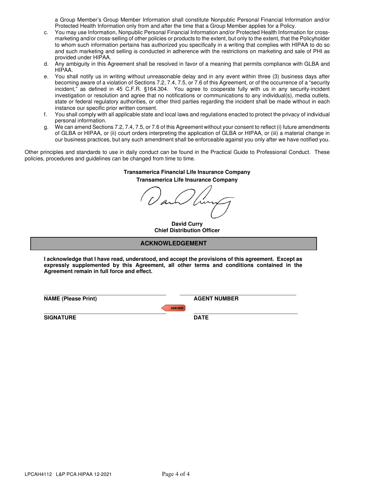a Group Member's Group Member Information shall constitute Nonpublic Personal Financial Information and/or Protected Health Information only from and after the time that a Group Member applies for a Policy.

- c. You may use Information, Nonpublic Personal Financial Information and/or Protected Health Information for crossmarketing and/or cross-selling of other policies or products to the extent, but only to the extent, that the Policyholder to whom such information pertains has authorized you specifically in a writing that complies with HIPAA to do so and such marketing and selling is conducted in adherence with the restrictions on marketing and sale of PHI as provided under HIPAA.
- d. Any ambiguity in this Agreement shall be resolved in favor of a meaning that permits compliance with GLBA and HIPAA.
- e. You shall notify us in writing without unreasonable delay and in any event within three (3) business days after becoming aware of a violation of Sections 7.2, 7.4, 7.5, or 7.6 of this Agreement, or of the occurrence of a "security incident," as defined in 45 C.F.R. §164.304. You agree to cooperate fully with us in any security-incident investigation or resolution and agree that no notifications or communications to any individual(s), media outlets, state or federal regulatory authorities, or other third parties regarding the incident shall be made without in each instance our specific prior written consent.
- f. You shall comply with all applicable state and local laws and regulations enacted to protect the privacy of individual personal information.
- g. We can amend Sections 7.2, 7.4, 7.5, or 7.6 of this Agreement without your consent to reflect (i) future amendments of GLBA or HIPAA, or (ii) court orders interpreting the application of GLBA or HIPAA, or (iii) a material change in our business practices, but any such amendment shall be enforceable against you only after we have notified you.

Other principles and standards to use in daily conduct can be found in the Practical Guide to Professional Conduct. These policies, procedures and guidelines can be changed from time to time.

#### **Transamerica Financial Life Insurance Company Transamerica Life Insurance Company**

**David Curry Chief Distribution Officer**

#### **ACKNOWLEDGEMENT ACKNOWLEDGEMENT**

**I acknowledge that I have read, understood, and accept the provisions of this agreement. Except as expressly supplemented by this Agreement, all other terms and conditions contained in the Agreement remain in full force and effect.** 

\_\_\_\_\_\_\_\_\_\_\_\_\_\_\_\_\_\_\_\_\_\_\_\_\_\_\_\_\_\_\_\_\_\_\_\_\_\_\_\_ **NAME (Please Print)** 



 $\mathcal{L}$  , and the set of the set of the set of the set of the set of the set of the set of the set of the set of the set of the set of the set of the set of the set of the set of the set of the set of the set of the set **SIGNATURE** 

 $\mathcal{L}=\mathcal{L}=\mathcal{L}=\mathcal{L}=\mathcal{L}=\mathcal{L}=\mathcal{L}=\mathcal{L}=\mathcal{L}=\mathcal{L}=\mathcal{L}=\mathcal{L}=\mathcal{L}=\mathcal{L}=\mathcal{L}=\mathcal{L}=\mathcal{L}=\mathcal{L}=\mathcal{L}=\mathcal{L}=\mathcal{L}=\mathcal{L}=\mathcal{L}=\mathcal{L}=\mathcal{L}=\mathcal{L}=\mathcal{L}=\mathcal{L}=\mathcal{L}=\mathcal{L}=\mathcal{L}=\mathcal{L}=\mathcal{L}=\mathcal{L}=\mathcal{L}=\mathcal{L}=\mathcal{$ **DATE** 

**AGENT NUMBER** 

\_\_\_\_\_\_\_\_\_\_\_\_\_\_\_\_\_\_\_\_\_\_\_\_\_\_\_\_\_\_\_\_\_\_\_\_\_\_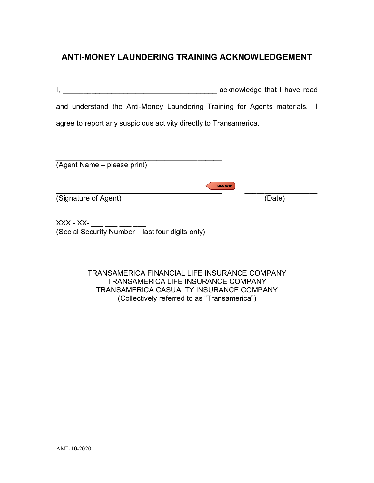### ANTI-MONEY LAUNDERING TRAINING ACKNOWLEDGEMENT

| ANTI-MONEY LAUNDERING TRAINING ACKNOWLEDGEMENT                            |  |
|---------------------------------------------------------------------------|--|
|                                                                           |  |
| and understand the Anti-Money Laundering Training for Agents materials. I |  |
|                                                                           |  |
| agree to report any suspicious activity directly to Transamerica.         |  |
|                                                                           |  |
|                                                                           |  |

| <b>ANTI-MONEY LAUNDERING TRAINING ACKNOWLEDGEMENT</b>           |                                                                                             |  |  |
|-----------------------------------------------------------------|---------------------------------------------------------------------------------------------|--|--|
|                                                                 | acknowledge that I have read                                                                |  |  |
|                                                                 | and understand the Anti-Money Laundering Training for Agents materials. I                   |  |  |
|                                                                 | agree to report any suspicious activity directly to Transamerica.                           |  |  |
|                                                                 |                                                                                             |  |  |
| (Agent Name – please print)                                     |                                                                                             |  |  |
| (Signature of Agent)                                            | <b>SIGN HERE</b><br>(Date)                                                                  |  |  |
| $XXX - XX-$<br>(Social Security Number - last four digits only) |                                                                                             |  |  |
|                                                                 |                                                                                             |  |  |
|                                                                 | TRANSAMERICA FINANCIAL LIFE INSURANCE COMPANY<br><b>TRANSAMERICA LIFE INSURANCE COMPANY</b> |  |  |
|                                                                 | TRANSAMERICA CASHALTY INSHRANCE COMPANY                                                     |  |  |

TRANSAMERICA LIFE INSURANCE COMPANY TRANSAMERICA CASUALTY INSURANCE COMPANY (Collectively referred to as "Transamerica")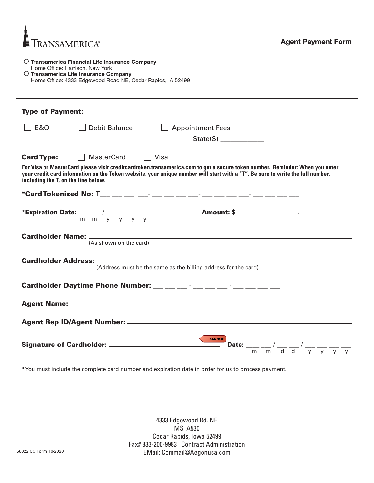

Ī

#### O Transamerica Financial Life Insurance Company Home Office: Harrison, New York

O Transamerica Life Insurance Company Home Office: 4333 Edgewood Road NE, Cedar Rapids, IA 52499

| <b>Type of Payment:</b>                                                                                                                                                                                                                                                                              |                                                                                                                                                           |  |  |  |
|------------------------------------------------------------------------------------------------------------------------------------------------------------------------------------------------------------------------------------------------------------------------------------------------------|-----------------------------------------------------------------------------------------------------------------------------------------------------------|--|--|--|
| E & O                                                                                                                                                                                                                                                                                                | $\Box$ Debit Balance<br>$\Box$ Appointment Fees                                                                                                           |  |  |  |
|                                                                                                                                                                                                                                                                                                      | State(S)                                                                                                                                                  |  |  |  |
| <b>Card Type:</b>                                                                                                                                                                                                                                                                                    | MasterCard   Visa                                                                                                                                         |  |  |  |
| For Visa or MasterCard please visit creditcardtoken.transamerica.com to get a secure token number. Reminder: When you enter<br>your credit card information on the Token website, your unique number will start with a "T". Be sure to write the full number,<br>including the T, on the line below. |                                                                                                                                                           |  |  |  |
|                                                                                                                                                                                                                                                                                                      |                                                                                                                                                           |  |  |  |
|                                                                                                                                                                                                                                                                                                      | Amount: \$ ___ __ __ __ __ __ . __ . __<br><b>*Expiration Date:</b> $\frac{1}{m} \frac{1}{m} \frac{1}{y} \frac{1}{y} \frac{1}{y} \frac{1}{y} \frac{1}{y}$ |  |  |  |
| Cardholder Name: _____________<br>(As shown on the card)                                                                                                                                                                                                                                             |                                                                                                                                                           |  |  |  |
| (Address must be the same as the billing address for the card)                                                                                                                                                                                                                                       |                                                                                                                                                           |  |  |  |
|                                                                                                                                                                                                                                                                                                      |                                                                                                                                                           |  |  |  |
|                                                                                                                                                                                                                                                                                                      |                                                                                                                                                           |  |  |  |
|                                                                                                                                                                                                                                                                                                      |                                                                                                                                                           |  |  |  |
| <b>SIGN HERE</b><br>Date: $\frac{1}{m}$ $\frac{1}{m}$ $\frac{1}{d}$ $\frac{1}{d}$ $\frac{1}{y}$ $\frac{1}{y}$ $\frac{1}{y}$ $\frac{1}{y}$                                                                                                                                                            |                                                                                                                                                           |  |  |  |

\*You must include the complete card number and expiration date in order for us to process payment.

4333 Edgewood Rd. NE MS A530 Cedar Rapids, Iowa 52499 Fax# 833-200-9983 Contract Administration EMail: Commail@Aegonusa.com